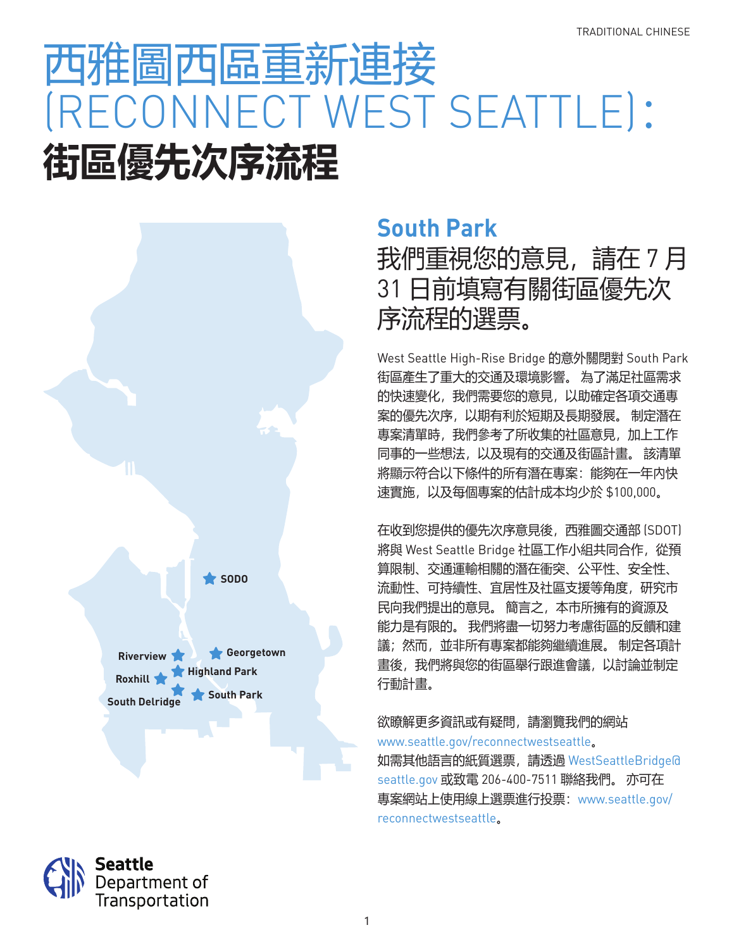# 西雅圖西區重新連接 (RECONNECT WEST SEATTLE): **街區優先次序流程**



### **South Park**

我們重視您的意見,請在 7 月 31 日前填寫有關街區優先次 序流程的選票。

West Seattle High-Rise Bridge 的意外關閉對 South Park 街區產生了重大的交通及環境影響。 為了滿足社區需求 的快速變化,我們需要您的意見,以助確定各項交通專 案的優先次序,以期有利於短期及長期發展。 制定潛在 專案清單時,我們參考了所收集的社區意見,加上工作 同事的一些想法,以及現有的交通及街區計畫。 該清單 將顯示符合以下條件的所有潛在專案:能夠在一年內快 速實施,以及每個專案的估計成本均少於 \$100,000。

在收到您提供的優先次序意見後,西雅圖交通部 (SDOT) 將與 West Seattle Bridge 社區工作小組共同合作,從預 算限制、交通運輸相關的潛在衝突、公平性、安全性、 流動性、可持續性、宜居性及社區支援等角度,研究市 民向我們提出的意見。 簡言之,本市所擁有的資源及 能力是有限的。 我們將盡一切努力考慮街區的反饋和建 議;然而,並非所有專案都能夠繼續進展。 制定各項計 畫後,我們將與您的街區舉行跟進會議,以討論並制定 行動計畫。

欲瞭解更多資訊或有疑問,請瀏覽我們的網站 www.seattle.gov/reconnectwestseattle。 如需其他語言的紙質選票,請透過 WestSeattleBridge@ seattle.gov 或致電 206-400-7511 聯絡我們。 亦可在 專案網站上使用線上選票進行投票:www.seattle.gov/ reconnectwestseattle。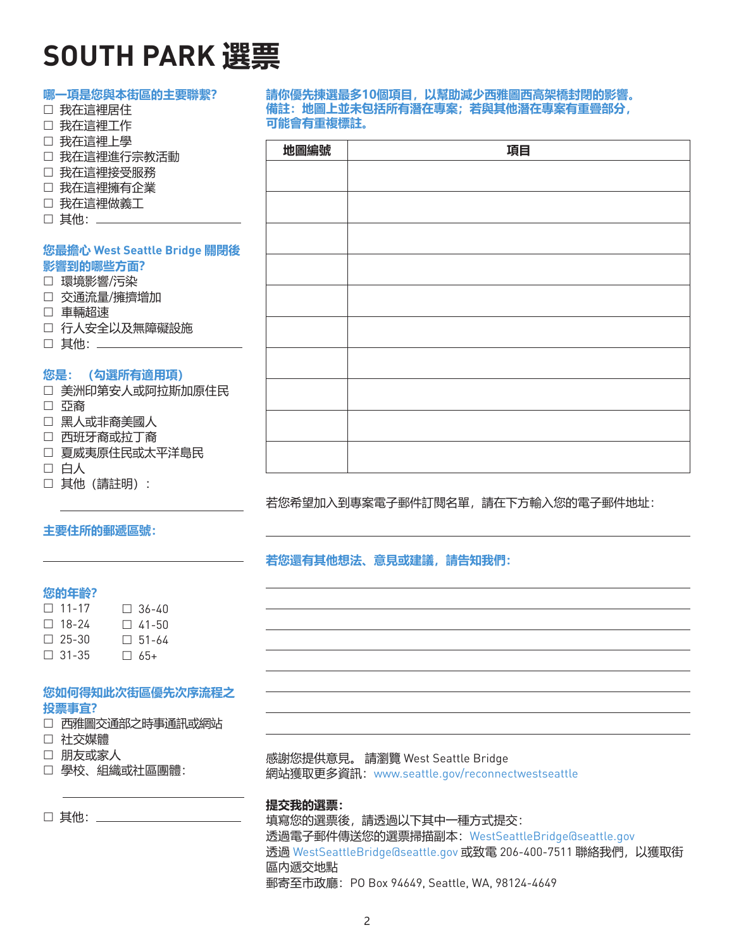## **SOUTH PARK 選票**

| 哪一項是您與本街區的主要聯繫?              |                                   | 請你優先揀選最多10個項目,以幫助減少西雅圖西高架橋封閉的影響。  |  |
|------------------------------|-----------------------------------|-----------------------------------|--|
| □ 我在這裡居住                     | 備註: 地圖上並未包括所有潛在專案; 若與其他潛在專案有重疊部分, |                                   |  |
| □ 我在這裡工作                     | 可能會有重複標註。                         |                                   |  |
| □ 我在這裡上學                     |                                   |                                   |  |
| □ 我在這裡進行宗教活動                 | 地圖編號                              | 項目                                |  |
| □ 我在這裡接受服務                   |                                   |                                   |  |
| □ 我在這裡擁有企業                   |                                   |                                   |  |
| □ 我在這裡做義工                    |                                   |                                   |  |
| □ 其他: ______                 |                                   |                                   |  |
|                              |                                   |                                   |  |
| 您最擔心 West Seattle Bridge 關閉後 |                                   |                                   |  |
| 影響到的哪些方面?                    |                                   |                                   |  |
| □ 環境影響/污染                    |                                   |                                   |  |
| □ 交通流量/擁擠增加                  |                                   |                                   |  |
| □ 車輛超速                       |                                   |                                   |  |
| □ 行人安全以及無障礙設施                |                                   |                                   |  |
| □ 其他: _________              |                                   |                                   |  |
|                              |                                   |                                   |  |
| 您是: (勾選所有適用項)                |                                   |                                   |  |
| □ 美洲印第安人或阿拉斯加原住民             |                                   |                                   |  |
| □ 亞裔                         |                                   |                                   |  |
| □ 黑人或非裔美國人                   |                                   |                                   |  |
| □ 西班牙裔或拉丁裔                   |                                   |                                   |  |
| □ 夏威夷原住民或太平洋島民               |                                   |                                   |  |
| □ 白人                         |                                   |                                   |  |
| □ 其他 (請註明) :                 |                                   |                                   |  |
|                              |                                   | 若您希望加入到專案電子郵件訂閱名單,請在下方輸入您的電子郵件地址: |  |
|                              |                                   |                                   |  |

#### **主要住所的郵遞區號:**

**若您還有其他想法、意見或建議,請告知我們:**

#### **您的年齡?**

| $\Box$ 11-17 | $\Box$ 36-40 |
|--------------|--------------|
| $\Box$ 18-24 | $\Box$ 41-50 |
| $\Box$ 25-30 | $\Box$ 51-64 |
| $\Box$ 31-35 | $\Box$ 65+   |

#### **您如何得知此次街區優先次序流程之 投票事宜?**

|  | □ 西雅圖交通部之時事通訊或網站 |
|--|------------------|
|--|------------------|

- 社交媒體
- 朋友或家人
- 學校、組織或社區團體:

□ 其他: \_\_\_\_\_\_\_\_

感謝您提供意見。 請瀏覽 West Seattle Bridge 網站獲取更多資訊:www.seattle.gov/reconnectwestseattle

#### **提交我的選票:**

填寫您的選票後,請透過以下其中一種方式提交: 透過電子郵件傳送您的選票掃描副本:WestSeattleBridge@seattle.gov 透過 WestSeattleBridge@seattle.gov 或致電 206-400-7511 聯絡我們,以獲取街 區內遞交地點 郵寄至市政廳:PO Box 94649, Seattle, WA, 98124-4649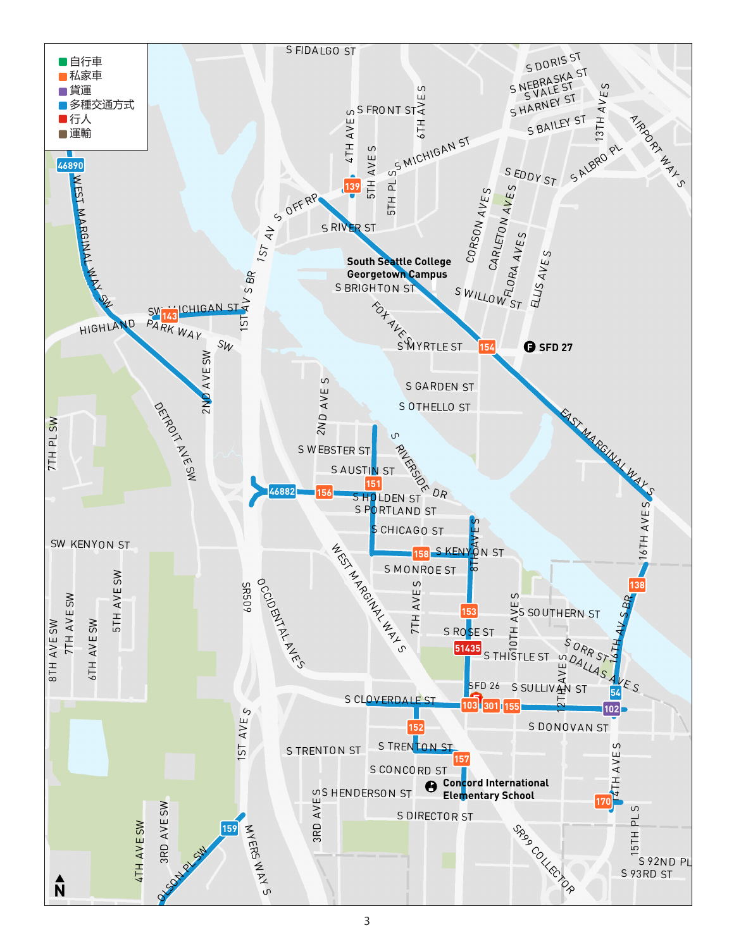